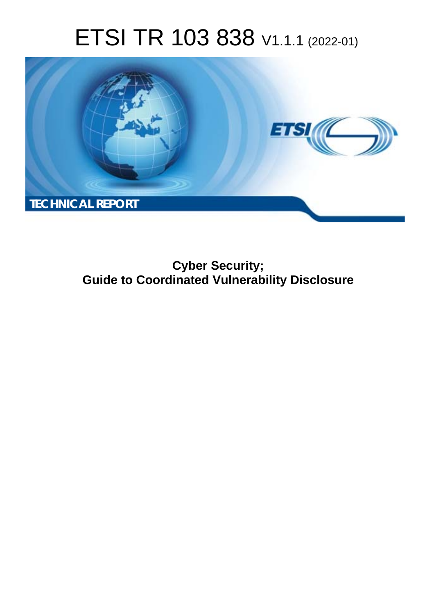# ETSI TR 103 838 V1.1.1 (2022-01)



**Cyber Security; Guide to Coordinated Vulnerability Disclosure**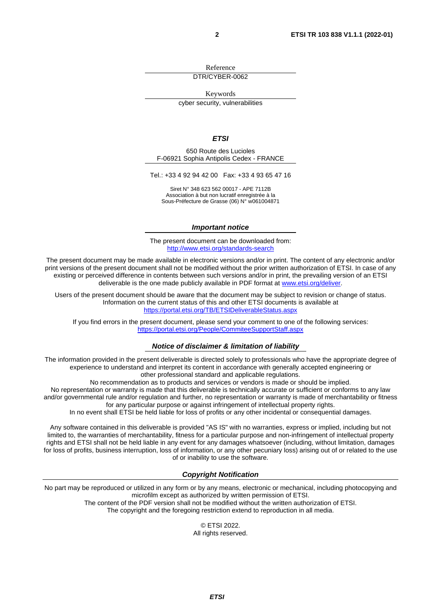Reference DTR/CYBER-0062

Keywords

cyber security, vulnerabilities

#### *ETSI*

650 Route des Lucioles F-06921 Sophia Antipolis Cedex - FRANCE

Tel.: +33 4 92 94 42 00 Fax: +33 4 93 65 47 16

Siret N° 348 623 562 00017 - APE 7112B Association à but non lucratif enregistrée à la Sous-Préfecture de Grasse (06) N° w061004871

#### *Important notice*

The present document can be downloaded from: <http://www.etsi.org/standards-search>

The present document may be made available in electronic versions and/or in print. The content of any electronic and/or print versions of the present document shall not be modified without the prior written authorization of ETSI. In case of any existing or perceived difference in contents between such versions and/or in print, the prevailing version of an ETSI deliverable is the one made publicly available in PDF format at [www.etsi.org/deliver](http://www.etsi.org/deliver).

Users of the present document should be aware that the document may be subject to revision or change of status. Information on the current status of this and other ETSI documents is available at <https://portal.etsi.org/TB/ETSIDeliverableStatus.aspx>

If you find errors in the present document, please send your comment to one of the following services: <https://portal.etsi.org/People/CommiteeSupportStaff.aspx>

#### *Notice of disclaimer & limitation of liability*

The information provided in the present deliverable is directed solely to professionals who have the appropriate degree of experience to understand and interpret its content in accordance with generally accepted engineering or other professional standard and applicable regulations.

No recommendation as to products and services or vendors is made or should be implied.

No representation or warranty is made that this deliverable is technically accurate or sufficient or conforms to any law and/or governmental rule and/or regulation and further, no representation or warranty is made of merchantability or fitness for any particular purpose or against infringement of intellectual property rights.

In no event shall ETSI be held liable for loss of profits or any other incidental or consequential damages.

Any software contained in this deliverable is provided "AS IS" with no warranties, express or implied, including but not limited to, the warranties of merchantability, fitness for a particular purpose and non-infringement of intellectual property rights and ETSI shall not be held liable in any event for any damages whatsoever (including, without limitation, damages for loss of profits, business interruption, loss of information, or any other pecuniary loss) arising out of or related to the use of or inability to use the software.

#### *Copyright Notification*

No part may be reproduced or utilized in any form or by any means, electronic or mechanical, including photocopying and microfilm except as authorized by written permission of ETSI. The content of the PDF version shall not be modified without the written authorization of ETSI.

The copyright and the foregoing restriction extend to reproduction in all media.

© ETSI 2022. All rights reserved.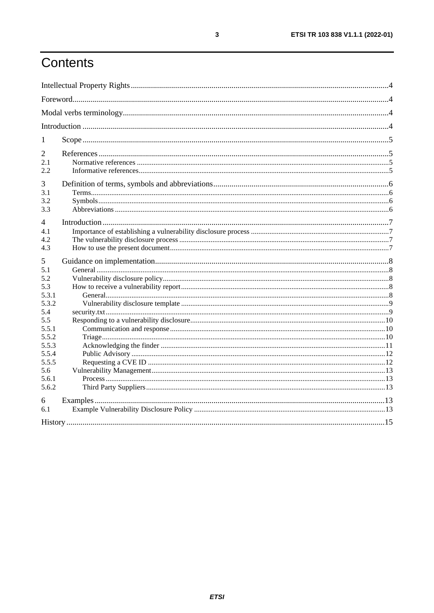# Contents

| 1                     |  |
|-----------------------|--|
| $\overline{2}$<br>2.1 |  |
| 2.2                   |  |
| 3                     |  |
| 3.1                   |  |
| 3.2                   |  |
| 3.3                   |  |
| 4                     |  |
| 4.1                   |  |
| 4.2                   |  |
| 4.3                   |  |
| 5                     |  |
| 5.1                   |  |
| 5.2                   |  |
| 5.3                   |  |
| 5.3.1                 |  |
| 5.3.2                 |  |
| 5.4                   |  |
| 5.5                   |  |
| 5.5.1                 |  |
| 5.5.2                 |  |
| 5.5.3                 |  |
| 5.5.4                 |  |
| 5.5.5                 |  |
| 5.6                   |  |
|                       |  |
| 5.6.1                 |  |
| 5.6.2                 |  |
| 6                     |  |
| 6.1                   |  |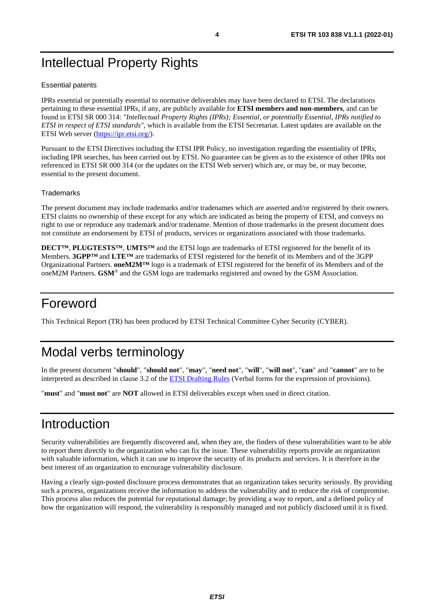# <span id="page-3-0"></span>Intellectual Property Rights

#### Essential patents

IPRs essential or potentially essential to normative deliverables may have been declared to ETSI. The declarations pertaining to these essential IPRs, if any, are publicly available for **ETSI members and non-members**, and can be found in ETSI SR 000 314: *"Intellectual Property Rights (IPRs); Essential, or potentially Essential, IPRs notified to ETSI in respect of ETSI standards"*, which is available from the ETSI Secretariat. Latest updates are available on the ETSI Web server ([https://ipr.etsi.org/\)](https://ipr.etsi.org/).

Pursuant to the ETSI Directives including the ETSI IPR Policy, no investigation regarding the essentiality of IPRs, including IPR searches, has been carried out by ETSI. No guarantee can be given as to the existence of other IPRs not referenced in ETSI SR 000 314 (or the updates on the ETSI Web server) which are, or may be, or may become, essential to the present document.

#### **Trademarks**

The present document may include trademarks and/or tradenames which are asserted and/or registered by their owners. ETSI claims no ownership of these except for any which are indicated as being the property of ETSI, and conveys no right to use or reproduce any trademark and/or tradename. Mention of those trademarks in the present document does not constitute an endorsement by ETSI of products, services or organizations associated with those trademarks.

**DECT™**, **PLUGTESTS™**, **UMTS™** and the ETSI logo are trademarks of ETSI registered for the benefit of its Members. **3GPP™** and **LTE™** are trademarks of ETSI registered for the benefit of its Members and of the 3GPP Organizational Partners. **oneM2M™** logo is a trademark of ETSI registered for the benefit of its Members and of the oneM2M Partners. **GSM**® and the GSM logo are trademarks registered and owned by the GSM Association.

# Foreword

This Technical Report (TR) has been produced by ETSI Technical Committee Cyber Security (CYBER).

# Modal verbs terminology

In the present document "**should**", "**should not**", "**may**", "**need not**", "**will**", "**will not**", "**can**" and "**cannot**" are to be interpreted as described in clause 3.2 of the [ETSI Drafting Rules](https://portal.etsi.org/Services/editHelp!/Howtostart/ETSIDraftingRules.aspx) (Verbal forms for the expression of provisions).

"**must**" and "**must not**" are **NOT** allowed in ETSI deliverables except when used in direct citation.

# Introduction

Security vulnerabilities are frequently discovered and, when they are, the finders of these vulnerabilities want to be able to report them directly to the organization who can fix the issue. These vulnerability reports provide an organization with valuable information, which it can use to improve the security of its products and services. It is therefore in the best interest of an organization to encourage vulnerability disclosure.

Having a clearly sign-posted disclosure process demonstrates that an organization takes security seriously. By providing such a process, organizations receive the information to address the vulnerability and to reduce the risk of compromise. This process also reduces the potential for reputational damage; by providing a way to report, and a defined policy of how the organization will respond, the vulnerability is responsibly managed and not publicly disclosed until it is fixed.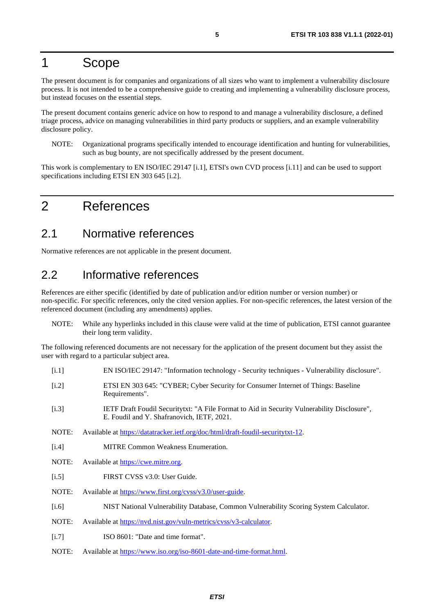### <span id="page-4-0"></span>1 Scope

The present document is for companies and organizations of all sizes who want to implement a vulnerability disclosure process. It is not intended to be a comprehensive guide to creating and implementing a vulnerability disclosure process, but instead focuses on the essential steps.

The present document contains generic advice on how to respond to and manage a vulnerability disclosure, a defined triage process, advice on managing vulnerabilities in third party products or suppliers, and an example vulnerability disclosure policy.

NOTE: Organizational programs specifically intended to encourage identification and hunting for vulnerabilities, such as bug bounty, are not specifically addressed by the present document.

This work is complementary to EN ISO/IEC 29147 [i.1], ETSI's own CVD process [\[i.11\]](#page-5-0) and can be used to support specifications including ETSI EN 303 645 [i.2].

### 2 References

### 2.1 Normative references

Normative references are not applicable in the present document.

### 2.2 Informative references

References are either specific (identified by date of publication and/or edition number or version number) or non-specific. For specific references, only the cited version applies. For non-specific references, the latest version of the referenced document (including any amendments) applies.

NOTE: While any hyperlinks included in this clause were valid at the time of publication, ETSI cannot guarantee their long term validity.

The following referenced documents are not necessary for the application of the present document but they assist the user with regard to a particular subject area.

- [i.1] EN ISO/IEC 29147: "Information technology Security techniques Vulnerability disclosure".
- [i.2] ETSI EN 303 645: "CYBER; Cyber Security for Consumer Internet of Things: Baseline Requirements".
- [i.3] IETF Draft Foudil Securitytxt: "A File Format to Aid in Security Vulnerability Disclosure", E. Foudil and Y. Shafranovich, IETF, 2021.
- NOTE: Available at<https://datatracker.ietf.org/doc/html/draft-foudil-securitytxt-12>.
- [i.4] MITRE Common Weakness Enumeration.
- NOTE: Available at [https://cwe.mitre.org.](https://cwe.mitre.org/)
- [i.5] FIRST CVSS v3.0: User Guide.
- NOTE: Available at [https://www.first.org/cvss/v3.0/user-guide.](https://www.first.org/cvss/v3.0/user-guide)
- [i.6] NIST National Vulnerability Database, Common Vulnerability Scoring System Calculator.
- NOTE: Available at<https://nvd.nist.gov/vuln-metrics/cvss/v3-calculator>.
- [i.7] ISO 8601: "Date and time format".
- NOTE: Available at<https://www.iso.org/iso-8601-date-and-time-format.html>.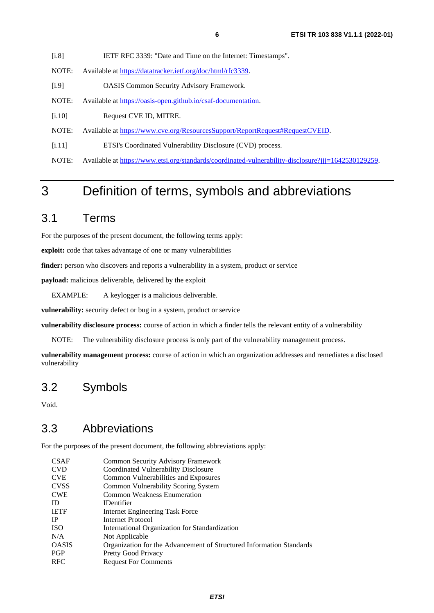#### <span id="page-5-0"></span>[i.8] IETF RFC 3339: "Date and Time on the Internet: Timestamps".

- NOTE: Available at<https://datatracker.ietf.org/doc/html/rfc3339>.
- [i.9] OASIS Common Security Advisory Framework.
- NOTE: Available at<https://oasis-open.github.io/csaf-documentation>.
- [i.10] Request CVE ID, MITRE.
- NOTE: Available at [https://www.cve.org/ResourcesSupport/ReportRequest#RequestCVEID](https://www.cve.org/ResourcesSupport/ReportRequest).
- [i.11] ETSI's Coordinated Vulnerability Disclosure (CVD) process.
- NOTE: Available at<https://www.etsi.org/standards/coordinated-vulnerability-disclosure?jjj=1642530129259>.

# 3 Definition of terms, symbols and abbreviations

#### 3.1 Terms

For the purposes of the present document, the following terms apply:

**exploit:** code that takes advantage of one or many vulnerabilities

**finder:** person who discovers and reports a vulnerability in a system, product or service

**payload:** malicious deliverable, delivered by the exploit

EXAMPLE: A keylogger is a malicious deliverable.

**vulnerability:** security defect or bug in a system, product or service

**vulnerability disclosure process:** course of action in which a finder tells the relevant entity of a vulnerability

NOTE: The vulnerability disclosure process is only part of the vulnerability management process.

**vulnerability management process:** course of action in which an organization addresses and remediates a disclosed vulnerability

#### 3.2 Symbols

Void.

#### 3.3 Abbreviations

For the purposes of the present document, the following abbreviations apply:

| <b>CSAF</b>  | <b>Common Security Advisory Framework</b>                            |
|--------------|----------------------------------------------------------------------|
| <b>CVD</b>   | Coordinated Vulnerability Disclosure                                 |
| <b>CVE</b>   | Common Vulnerabilities and Exposures                                 |
| <b>CVSS</b>  | Common Vulnerability Scoring System                                  |
| <b>CWE</b>   | <b>Common Weakness Enumeration</b>                                   |
| <b>ID</b>    | <b>IDentifier</b>                                                    |
| <b>IETF</b>  | Internet Engineering Task Force                                      |
| <b>IP</b>    | Internet Protocol                                                    |
| <b>ISO</b>   | International Organization for Standardization                       |
| N/A          | Not Applicable                                                       |
| <b>OASIS</b> | Organization for the Advancement of Structured Information Standards |
| <b>PGP</b>   | Pretty Good Privacy                                                  |
| <b>RFC</b>   | <b>Request For Comments</b>                                          |
|              |                                                                      |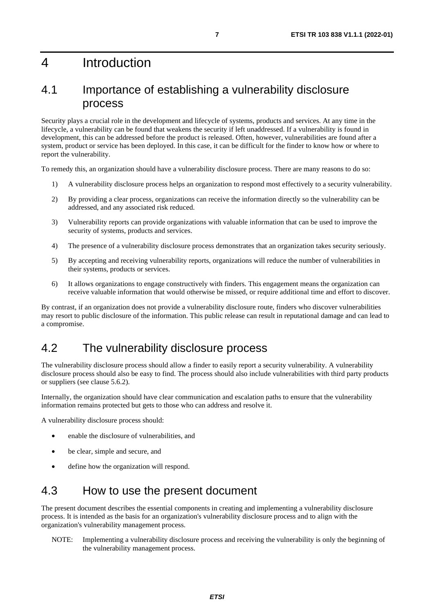# <span id="page-6-0"></span>4 Introduction

### 4.1 Importance of establishing a vulnerability disclosure process

Security plays a crucial role in the development and lifecycle of systems, products and services. At any time in the lifecycle, a vulnerability can be found that weakens the security if left unaddressed. If a vulnerability is found in development, this can be addressed before the product is released. Often, however, vulnerabilities are found after a system, product or service has been deployed. In this case, it can be difficult for the finder to know how or where to report the vulnerability.

To remedy this, an organization should have a vulnerability disclosure process. There are many reasons to do so:

- 1) A vulnerability disclosure process helps an organization to respond most effectively to a security vulnerability.
- 2) By providing a clear process, organizations can receive the information directly so the vulnerability can be addressed, and any associated risk reduced.
- 3) Vulnerability reports can provide organizations with valuable information that can be used to improve the security of systems, products and services.
- 4) The presence of a vulnerability disclosure process demonstrates that an organization takes security seriously.
- 5) By accepting and receiving vulnerability reports, organizations will reduce the number of vulnerabilities in their systems, products or services.
- 6) It allows organizations to engage constructively with finders. This engagement means the organization can receive valuable information that would otherwise be missed, or require additional time and effort to discover.

By contrast, if an organization does not provide a vulnerability disclosure route, finders who discover vulnerabilities may resort to public disclosure of the information. This public release can result in reputational damage and can lead to a compromise.

### 4.2 The vulnerability disclosure process

The vulnerability disclosure process should allow a finder to easily report a security vulnerability. A vulnerability disclosure process should also be easy to find. The process should also include vulnerabilities with third party products or suppliers (see clause 5.6.2).

Internally, the organization should have clear communication and escalation paths to ensure that the vulnerability information remains protected but gets to those who can address and resolve it.

A vulnerability disclosure process should:

- enable the disclosure of vulnerabilities, and
- be clear, simple and secure, and
- define how the organization will respond.

### 4.3 How to use the present document

The present document describes the essential components in creating and implementing a vulnerability disclosure process. It is intended as the basis for an organization's vulnerability disclosure process and to align with the organization's vulnerability management process.

NOTE: Implementing a vulnerability disclosure process and receiving the vulnerability is only the beginning of the vulnerability management process.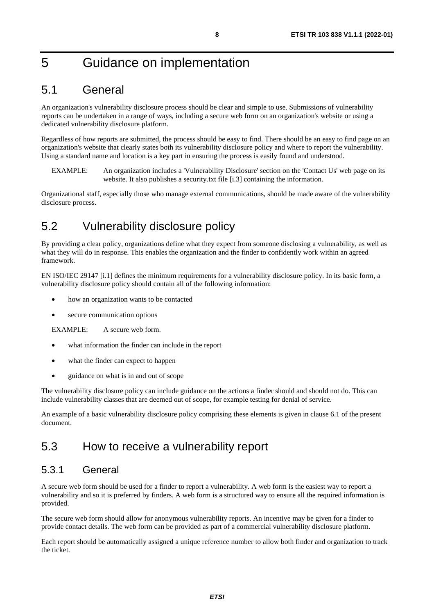# <span id="page-7-0"></span>5 Guidance on implementation

### 5.1 General

An organization's vulnerability disclosure process should be clear and simple to use. Submissions of vulnerability reports can be undertaken in a range of ways, including a secure web form on an organization's website or using a dedicated vulnerability disclosure platform.

Regardless of how reports are submitted, the process should be easy to find. There should be an easy to find page on an organization's website that clearly states both its vulnerability disclosure policy and where to report the vulnerability. Using a standard name and location is a key part in ensuring the process is easily found and understood.

EXAMPLE: An organization includes a 'Vulnerability Disclosure' section on the 'Contact Us' web page on its website. It also publishes a security.txt file [\[i.3](#page-4-0)] containing the information.

Organizational staff, especially those who manage external communications, should be made aware of the vulnerability disclosure process.

# 5.2 Vulnerability disclosure policy

By providing a clear policy, organizations define what they expect from someone disclosing a vulnerability, as well as what they will do in response. This enables the organization and the finder to confidently work within an agreed framework.

EN ISO/IEC 29147 [[i.1](#page-4-0)] defines the minimum requirements for a vulnerability disclosure policy. In its basic form, a vulnerability disclosure policy should contain all of the following information:

- how an organization wants to be contacted
- secure communication options

EXAMPLE: A secure web form.

- what information the finder can include in the report
- what the finder can expect to happen
- guidance on what is in and out of scope

The vulnerability disclosure policy can include guidance on the actions a finder should and should not do. This can include vulnerability classes that are deemed out of scope, for example testing for denial of service.

An example of a basic vulnerability disclosure policy comprising these elements is given in clause 6.1 of the present document.

### 5.3 How to receive a vulnerability report

#### 5.3.1 General

A secure web form should be used for a finder to report a vulnerability. A web form is the easiest way to report a vulnerability and so it is preferred by finders. A web form is a structured way to ensure all the required information is provided.

The secure web form should allow for anonymous vulnerability reports. An incentive may be given for a finder to provide contact details. The web form can be provided as part of a commercial vulnerability disclosure platform.

Each report should be automatically assigned a unique reference number to allow both finder and organization to track the ticket.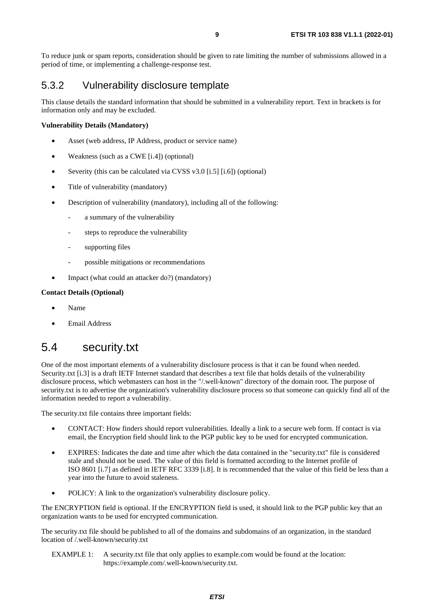<span id="page-8-0"></span>To reduce junk or spam reports, consideration should be given to rate limiting the number of submissions allowed in a period of time, or implementing a challenge-response test.

#### 5.3.2 Vulnerability disclosure template

This clause details the standard information that should be submitted in a vulnerability report. Text in brackets is for information only and may be excluded.

#### **Vulnerability Details (Mandatory)**

- Asset (web address, IP Address, product or service name)
- Weakness (such as a CWE [\[i.4\]](#page-4-0)) (optional)
- Severity (this can be calculated via CVSS v3.0 [\[i.5\]](#page-4-0) [\[i.6](#page-4-0)]) (optional)
- Title of vulnerability (mandatory)
- Description of vulnerability (mandatory), including all of the following:
	- a summary of the vulnerability
	- steps to reproduce the vulnerability
	- supporting files
	- possible mitigations or recommendations
	- Impact (what could an attacker do?) (mandatory)

#### **Contact Details (Optional)**

- Name
- Email Address

### 5.4 security.txt

One of the most important elements of a vulnerability disclosure process is that it can be found when needed. Security.txt [[i.3](#page-4-0)] is a draft IETF Internet standard that describes a text file that holds details of the vulnerability disclosure process, which webmasters can host in the "/.well-known" directory of the domain root. The purpose of security.txt is to advertise the organization's vulnerability disclosure process so that someone can quickly find all of the information needed to report a vulnerability.

The security.txt file contains three important fields:

- CONTACT: How finders should report vulnerabilities. Ideally a link to a secure web form. If contact is via email, the Encryption field should link to the PGP public key to be used for encrypted communication.
- EXPIRES: Indicates the date and time after which the data contained in the "security.txt" file is considered stale and should not be used. The value of this field is formatted according to the Internet profile of ISO 8601 [[i.7](#page-4-0)] as defined in IETF RFC 3339 [\[i.8\]](#page-5-0). It is recommended that the value of this field be less than a year into the future to avoid staleness.
- POLICY: A link to the organization's vulnerability disclosure policy.

The ENCRYPTION field is optional. If the ENCRYPTION field is used, it should link to the PGP public key that an organization wants to be used for encrypted communication.

The security.txt file should be published to all of the domains and subdomains of an organization, in the standard location of /.well-known/security.txt

EXAMPLE 1: A security.txt file that only applies to example.com would be found at the location: https://example.com/.well-known/security.txt.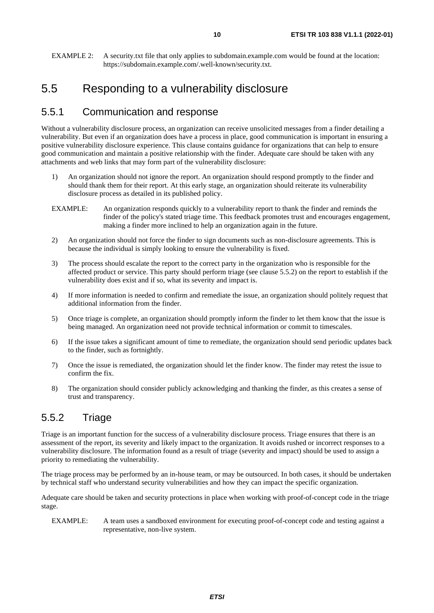### <span id="page-9-0"></span>5.5 Responding to a vulnerability disclosure

#### 5.5.1 Communication and response

Without a vulnerability disclosure process, an organization can receive unsolicited messages from a finder detailing a vulnerability. But even if an organization does have a process in place, good communication is important in ensuring a positive vulnerability disclosure experience. This clause contains guidance for organizations that can help to ensure good communication and maintain a positive relationship with the finder. Adequate care should be taken with any attachments and web links that may form part of the vulnerability disclosure:

- 1) An organization should not ignore the report. An organization should respond promptly to the finder and should thank them for their report. At this early stage, an organization should reiterate its vulnerability disclosure process as detailed in its published policy.
- EXAMPLE: An organization responds quickly to a vulnerability report to thank the finder and reminds the finder of the policy's stated triage time. This feedback promotes trust and encourages engagement, making a finder more inclined to help an organization again in the future.
- 2) An organization should not force the finder to sign documents such as non-disclosure agreements. This is because the individual is simply looking to ensure the vulnerability is fixed.
- 3) The process should escalate the report to the correct party in the organization who is responsible for the affected product or service. This party should perform triage (see clause 5.5.2) on the report to establish if the vulnerability does exist and if so, what its severity and impact is.
- 4) If more information is needed to confirm and remediate the issue, an organization should politely request that additional information from the finder.
- 5) Once triage is complete, an organization should promptly inform the finder to let them know that the issue is being managed. An organization need not provide technical information or commit to timescales.
- 6) If the issue takes a significant amount of time to remediate, the organization should send periodic updates back to the finder, such as fortnightly.
- 7) Once the issue is remediated, the organization should let the finder know. The finder may retest the issue to confirm the fix.
- 8) The organization should consider publicly acknowledging and thanking the finder, as this creates a sense of trust and transparency.

#### 5.5.2 Triage

Triage is an important function for the success of a vulnerability disclosure process. Triage ensures that there is an assessment of the report, its severity and likely impact to the organization. It avoids rushed or incorrect responses to a vulnerability disclosure. The information found as a result of triage (severity and impact) should be used to assign a priority to remediating the vulnerability.

The triage process may be performed by an in-house team, or may be outsourced. In both cases, it should be undertaken by technical staff who understand security vulnerabilities and how they can impact the specific organization.

Adequate care should be taken and security protections in place when working with proof-of-concept code in the triage stage.

EXAMPLE: A team uses a sandboxed environment for executing proof-of-concept code and testing against a representative, non-live system.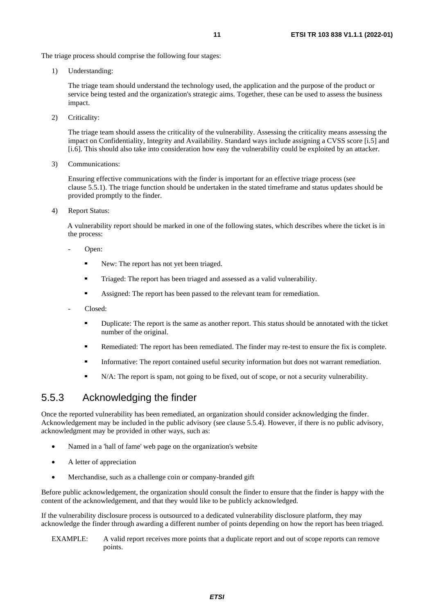<span id="page-10-0"></span>The triage process should comprise the following four stages:

1) Understanding:

The triage team should understand the technology used, the application and the purpose of the product or service being tested and the organization's strategic aims. Together, these can be used to assess the business impact.

2) Criticality:

The triage team should assess the criticality of the vulnerability. Assessing the criticality means assessing the impact on Confidentiality, Integrity and Availability. Standard ways include assigning a CVSS score [\[i.5](#page-4-0)] and [[i.6](#page-4-0)]. This should also take into consideration how easy the vulnerability could be exploited by an attacker.

3) Communications:

Ensuring effective communications with the finder is important for an effective triage process (see clause 5.5.1). The triage function should be undertaken in the stated timeframe and status updates should be provided promptly to the finder.

4) Report Status:

A vulnerability report should be marked in one of the following states, which describes where the ticket is in the process:

- Open:
	- New: The report has not yet been triaged.
	- Triaged: The report has been triaged and assessed as a valid vulnerability.
	- Assigned: The report has been passed to the relevant team for remediation.
- Closed:
	- Duplicate: The report is the same as another report. This status should be annotated with the ticket number of the original.
	- Remediated: The report has been remediated. The finder may re-test to ensure the fix is complete.
	- Informative: The report contained useful security information but does not warrant remediation.
	- N/A: The report is spam, not going to be fixed, out of scope, or not a security vulnerability.

#### 5.5.3 Acknowledging the finder

Once the reported vulnerability has been remediated, an organization should consider acknowledging the finder. Acknowledgement may be included in the public advisory (see clause 5.5.4). However, if there is no public advisory, acknowledgment may be provided in other ways, such as:

- Named in a 'hall of fame' web page on the organization's website
- A letter of appreciation
- Merchandise, such as a challenge coin or company-branded gift

Before public acknowledgement, the organization should consult the finder to ensure that the finder is happy with the content of the acknowledgement, and that they would like to be publicly acknowledged.

If the vulnerability disclosure process is outsourced to a dedicated vulnerability disclosure platform, they may acknowledge the finder through awarding a different number of points depending on how the report has been triaged.

EXAMPLE: A valid report receives more points that a duplicate report and out of scope reports can remove points.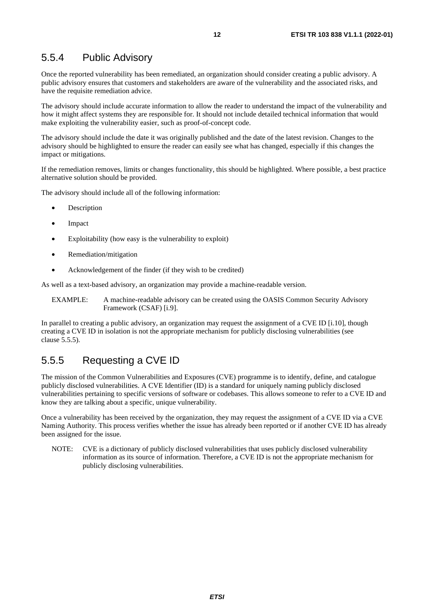#### <span id="page-11-0"></span>5.5.4 Public Advisory

Once the reported vulnerability has been remediated, an organization should consider creating a public advisory. A public advisory ensures that customers and stakeholders are aware of the vulnerability and the associated risks, and have the requisite remediation advice.

The advisory should include accurate information to allow the reader to understand the impact of the vulnerability and how it might affect systems they are responsible for. It should not include detailed technical information that would make exploiting the vulnerability easier, such as proof-of-concept code.

The advisory should include the date it was originally published and the date of the latest revision. Changes to the advisory should be highlighted to ensure the reader can easily see what has changed, especially if this changes the impact or mitigations.

If the remediation removes, limits or changes functionality, this should be highlighted. Where possible, a best practice alternative solution should be provided.

The advisory should include all of the following information:

- **Description**
- Impact
- Exploitability (how easy is the vulnerability to exploit)
- Remediation/mitigation
- Acknowledgement of the finder (if they wish to be credited)

As well as a text-based advisory, an organization may provide a machine-readable version.

EXAMPLE: A machine-readable advisory can be created using the OASIS Common Security Advisory Framework (CSAF) [[i.9](#page-5-0)].

In parallel to creating a public advisory, an organization may request the assignment of a CVE ID [\[i.10](#page-5-0)], though creating a CVE ID in isolation is not the appropriate mechanism for publicly disclosing vulnerabilities (see clause 5.5.5).

#### 5.5.5 Requesting a CVE ID

The mission of the Common Vulnerabilities and Exposures (CVE) programme is to identify, define, and catalogue publicly disclosed vulnerabilities. A CVE Identifier (ID) is a standard for uniquely naming publicly disclosed vulnerabilities pertaining to specific versions of software or codebases. This allows someone to refer to a CVE ID and know they are talking about a specific, unique vulnerability.

Once a vulnerability has been received by the organization, they may request the assignment of a CVE ID via a CVE Naming Authority. This process verifies whether the issue has already been reported or if another CVE ID has already been assigned for the issue.

NOTE: CVE is a dictionary of publicly disclosed vulnerabilities that uses publicly disclosed vulnerability information as its source of information. Therefore, a CVE ID is not the appropriate mechanism for publicly disclosing vulnerabilities.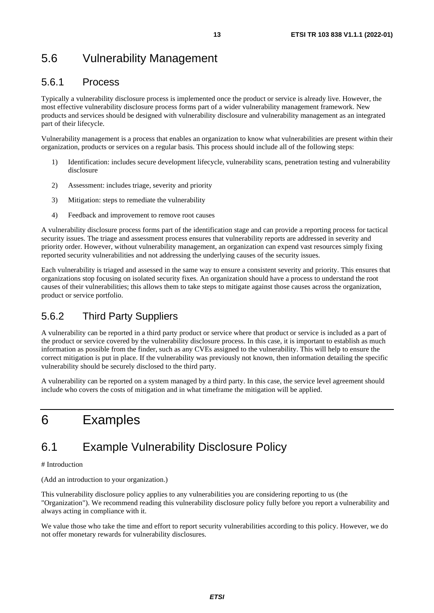# <span id="page-12-0"></span>5.6 Vulnerability Management

#### 5.6.1 Process

Typically a vulnerability disclosure process is implemented once the product or service is already live. However, the most effective vulnerability disclosure process forms part of a wider vulnerability management framework. New products and services should be designed with vulnerability disclosure and vulnerability management as an integrated part of their lifecycle.

Vulnerability management is a process that enables an organization to know what vulnerabilities are present within their organization, products or services on a regular basis. This process should include all of the following steps:

- 1) Identification: includes secure development lifecycle, vulnerability scans, penetration testing and vulnerability disclosure
- 2) Assessment: includes triage, severity and priority
- 3) Mitigation: steps to remediate the vulnerability
- 4) Feedback and improvement to remove root causes

A vulnerability disclosure process forms part of the identification stage and can provide a reporting process for tactical security issues. The triage and assessment process ensures that vulnerability reports are addressed in severity and priority order. However, without vulnerability management, an organization can expend vast resources simply fixing reported security vulnerabilities and not addressing the underlying causes of the security issues.

Each vulnerability is triaged and assessed in the same way to ensure a consistent severity and priority. This ensures that organizations stop focusing on isolated security fixes. An organization should have a process to understand the root causes of their vulnerabilities; this allows them to take steps to mitigate against those causes across the organization, product or service portfolio.

#### 5.6.2 Third Party Suppliers

A vulnerability can be reported in a third party product or service where that product or service is included as a part of the product or service covered by the vulnerability disclosure process. In this case, it is important to establish as much information as possible from the finder, such as any CVEs assigned to the vulnerability. This will help to ensure the correct mitigation is put in place. If the vulnerability was previously not known, then information detailing the specific vulnerability should be securely disclosed to the third party.

A vulnerability can be reported on a system managed by a third party. In this case, the service level agreement should include who covers the costs of mitigation and in what timeframe the mitigation will be applied.

# 6 Examples

# 6.1 Example Vulnerability Disclosure Policy

# Introduction

(Add an introduction to your organization.)

This vulnerability disclosure policy applies to any vulnerabilities you are considering reporting to us (the "Organization"). We recommend reading this vulnerability disclosure policy fully before you report a vulnerability and always acting in compliance with it.

We value those who take the time and effort to report security vulnerabilities according to this policy. However, we do not offer monetary rewards for vulnerability disclosures.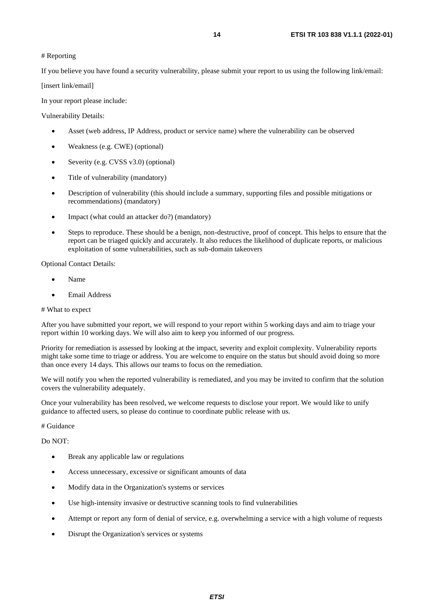#### # Reporting

If you believe you have found a security vulnerability, please submit your report to us using the following link/email:

[insert link/email]

In your report please include:

Vulnerability Details:

- Asset (web address, IP Address, product or service name) where the vulnerability can be observed
- Weakness (e.g. CWE) (optional)
- Severity (e.g. CVSS v3.0) (optional)
- Title of vulnerability (mandatory)
- Description of vulnerability (this should include a summary, supporting files and possible mitigations or recommendations) (mandatory)
- Impact (what could an attacker do?) (mandatory)
- Steps to reproduce. These should be a benign, non-destructive, proof of concept. This helps to ensure that the report can be triaged quickly and accurately. It also reduces the likelihood of duplicate reports, or malicious exploitation of some vulnerabilities, such as sub-domain takeovers

Optional Contact Details:

- Name
- Email Address

#### # What to expect

After you have submitted your report, we will respond to your report within 5 working days and aim to triage your report within 10 working days. We will also aim to keep you informed of our progress.

Priority for remediation is assessed by looking at the impact, severity and exploit complexity. Vulnerability reports might take some time to triage or address. You are welcome to enquire on the status but should avoid doing so more than once every 14 days. This allows our teams to focus on the remediation.

We will notify you when the reported vulnerability is remediated, and you may be invited to confirm that the solution covers the vulnerability adequately.

Once your vulnerability has been resolved, we welcome requests to disclose your report. We would like to unify guidance to affected users, so please do continue to coordinate public release with us.

# Guidance

Do NOT:

- Break any applicable law or regulations
- Access unnecessary, excessive or significant amounts of data
- Modify data in the Organization's systems or services
- Use high-intensity invasive or destructive scanning tools to find vulnerabilities
- Attempt or report any form of denial of service, e.g. overwhelming a service with a high volume of requests
- Disrupt the Organization's services or systems